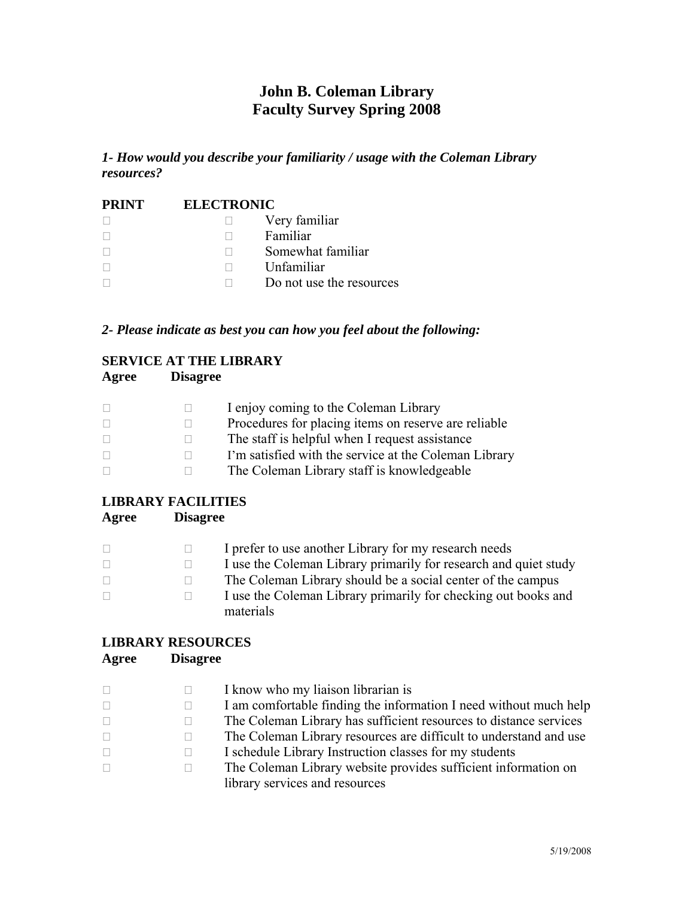## **John B. Coleman Library Faculty Survey Spring 2008**

*1- How would you describe your familiarity / usage with the Coleman Library resources?* 

| <b>PRINT</b> | <b>ELECTRONIC</b> |                          |  |
|--------------|-------------------|--------------------------|--|
|              |                   | Very familiar            |  |
|              |                   | Familiar                 |  |
|              |                   | Somewhat familiar        |  |
|              |                   | Unfamiliar               |  |
|              |                   | Do not use the resources |  |

*2- Please indicate as best you can how you feel about the following:*

### **SERVICE AT THE LIBRARY**

### **Agree Disagree**

|  | I enjoy coming to the Coleman Library                 |
|--|-------------------------------------------------------|
|  | Procedures for placing items on reserve are reliable  |
|  | The staff is helpful when I request assistance        |
|  | I'm satisfied with the service at the Coleman Library |
|  | The Coleman Library staff is knowledgeable            |

### **LIBRARY FACILITIES**

**Agree Disagree** 

| $\Box$       | I prefer to use another Library for my research needs            |
|--------------|------------------------------------------------------------------|
| $\mathbf{L}$ | I use the Coleman Library primarily for research and quiet study |
| $\mathbf{1}$ | The Coleman Library should be a social center of the campus      |
| $\Box$       | I use the Coleman Library primarily for checking out books and   |
|              | materials                                                        |

# **LIBRARY RESOURCES**

### **Agree Disagree**

| 0      | I know who my liaison librarian is                                |
|--------|-------------------------------------------------------------------|
| П      | I am comfortable finding the information I need without much help |
| $\Box$ | The Coleman Library has sufficient resources to distance services |
| П.     | The Coleman Library resources are difficult to understand and use |
| П.     | I schedule Library Instruction classes for my students            |
| П      | The Coleman Library website provides sufficient information on    |
|        | library services and resources                                    |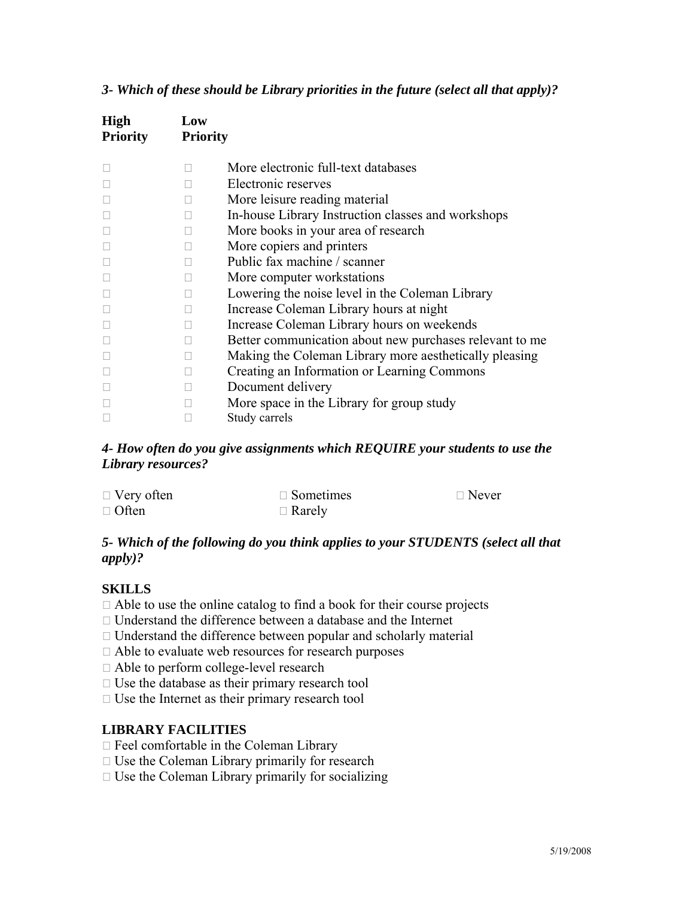|  |  |  |  | 3- Which of these should be Library priorities in the future (select all that apply)? |
|--|--|--|--|---------------------------------------------------------------------------------------|
|  |  |  |  |                                                                                       |

| <b>High</b><br><b>Priority</b> | Low<br><b>Priority</b> |                                                         |
|--------------------------------|------------------------|---------------------------------------------------------|
|                                |                        | More electronic full-text databases                     |
|                                |                        | Electronic reserves                                     |
|                                |                        | More leisure reading material                           |
|                                |                        | In-house Library Instruction classes and workshops      |
|                                |                        | More books in your area of research                     |
|                                |                        | More copiers and printers                               |
|                                |                        | Public fax machine / scanner                            |
|                                |                        | More computer workstations                              |
|                                |                        | Lowering the noise level in the Coleman Library         |
|                                |                        | Increase Coleman Library hours at night                 |
|                                |                        | Increase Coleman Library hours on weekends              |
|                                |                        | Better communication about new purchases relevant to me |
|                                |                        | Making the Coleman Library more aesthetically pleasing  |
|                                |                        | Creating an Information or Learning Commons             |
|                                |                        | Document delivery                                       |
|                                |                        | More space in the Library for group study               |
|                                |                        | Study carrels                                           |

### *4- How often do you give assignments which REQUIRE your students to use the Library resources?*

| $\Box$ Very often | $\Box$ Sometimes | $\Box$ Never |
|-------------------|------------------|--------------|
| $\Box$ Often      | $\Box$ Rarely    |              |

### *5- Which of the following do you think applies to your STUDENTS (select all that apply)?*

### **SKILLS**

- $\Box$  Able to use the online catalog to find a book for their course projects
- Understand the difference between a database and the Internet
- $\Box$  Understand the difference between popular and scholarly material
- Able to evaluate web resources for research purposes
- Able to perform college-level research
- $\Box$  Use the database as their primary research tool
- $\Box$  Use the Internet as their primary research tool

### **LIBRARY FACILITIES**

- $\Box$  Feel comfortable in the Coleman Library
- $\Box$  Use the Coleman Library primarily for research
- $\Box$  Use the Coleman Library primarily for socializing